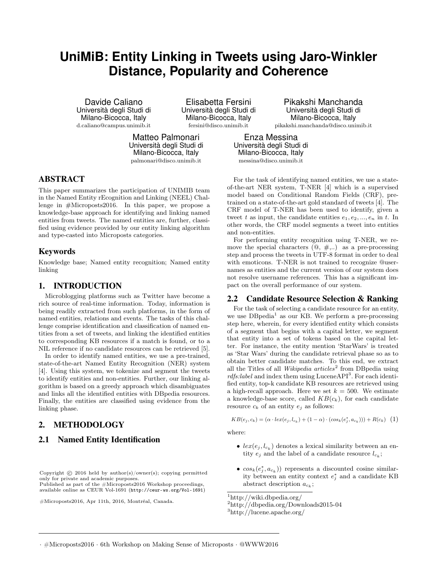# **UniMiB: Entity Linking in Tweets using Jaro-Winkler Distance, Popularity and Coherence**

Davide Caliano Università degli Studi di Milano-Bicocca, Italy d.caliano@campus.unimib.it

Elisabetta Fersini Università degli Studi di Milano-Bicocca, Italy fersini@disco.unimib.it

Matteo Palmonari Università degli Studi di Milano-Bicocca, Italy palmonari@disco.unimib.it

## ABSTRACT

This paper summarizes the participation of UNIMIB team in the Named Entity rEcognition and Linking (NEEL) Challenge in #Microposts2016. In this paper, we propose a knowledge-base approach for identifying and linking named entities from tweets. The named entities are, further, classified using evidence provided by our entity linking algorithm and type-casted into Microposts categories.

## Keywords

Knowledge base; Named entity recognition; Named entity linking

#### 1. INTRODUCTION

Microblogging platforms such as Twitter have become a rich source of real-time information. Today, information is being readily extracted from such platforms, in the form of named entities, relations and events. The tasks of this challenge comprise identification and classification of named entities from a set of tweets, and linking the identified entities to corresponding KB resources if a match is found, or to a NIL reference if no candidate resources can be retrieved [5].

In order to identify named entities, we use a pre-trained, state-of-the-art Named Entity Recognition (NER) system [4]. Using this system, we tokenize and segment the tweets to identify entities and non-entities. Further, our linking algorithm is based on a greedy approach which disambiguates and links all the identified entities with DBpedia resources. Finally, the entities are classified using evidence from the linking phase.

## 2. METHODOLOGY

## 2.1 Named Entity Identification

Copyright  $\odot$  2016 held by author(s)/owner(s); copying permitted only for private and academic purposes. Published as part of the #Microposts2016 Workshop proceedings,

available online as CEUR [Vol-1691](http://ceur-ws.org/Vol-1691) (<http://ceur-ws.org/Vol-1691>)

#Microposts2016, Apr 11th, 2016, Montréal, Canada.

Pikakshi Manchanda Università degli Studi di Milano-Bicocca, Italy pikakshi.manchanda@disco.unimib.it

Enza Messina Università degli Studi di Milano-Bicocca, Italy messina@disco.unimib.it

For the task of identifying named entities, we use a stateof-the-art NER system, T-NER [4] which is a supervised model based on Conditional Random Fields (CRF), pretrained on a state-of-the-art gold standard of tweets [4]. The CRF model of T-NER has been used to identify, given a tweet t as input, the candidate entities  $e_1, e_2, ..., e_n$  in t. In other words, the CRF model segments a tweet into entities and non-entities.

For performing entity recognition using T-NER, we remove the special characters  $(\mathbb{Q}, \#,...)$  as a pre-processing step and process the tweets in UTF-8 format in order to deal with emoticons. T-NER is not trained to recognize @usernames as entities and the current version of our system does not resolve username references. This has a significant impact on the overall performance of our system.

#### 2.2 Candidate Resource Selection & Ranking

For the task of selecting a candidate resource for an entity, we use DB pedia<sup>1</sup> as our KB. We perform a pre-processing step here, wherein, for every identified entity which consists of a segment that begins with a capital letter, we segment that entity into a set of tokens based on the capital letter. For instance, the entity mention 'StarWars' is treated as 'Star Wars' during the candidate retrieval phase so as to obtain better candidate matches. To this end, we extract all the Titles of all *Wikipedia articles*<sup>2</sup> from DB pedia using rdfs:label and index them using LuceneAPI<sup>3</sup>. For each identified entity, top-k candidate KB resources are retrieved using a high-recall approach. Here we set  $k = 500$ . We estimate a knowledge-base score, called  $KB(c_k)$ , for each candidate resource  $c_k$  of an entity  $e_j$  as follows:

$$
KB(e_j, c_k) = (\alpha \cdot lex(e_j, l_{c_k}) + (1 - \alpha) \cdot (cos_k(e_j^*, a_{c_k}))) + R(c_k) \quad (1)
$$

where:

- $lex(e_j, l_{c_k})$  denotes a lexical similarity between an entity  $e_j$  and the label of a candidate resource  $l_{c_k}$ ;
- $cos_k(e_j^*, a_{c_k})$  represents a discounted cosine similarity between an entity context  $e_j^*$  and a candidate KB abstract description  $a_{c_k}$ ;

<sup>1</sup>http://wiki.dbpedia.org/

<sup>2</sup>http://dbpedia.org/Downloads2015-04

<sup>3</sup>http://lucene.apache.org/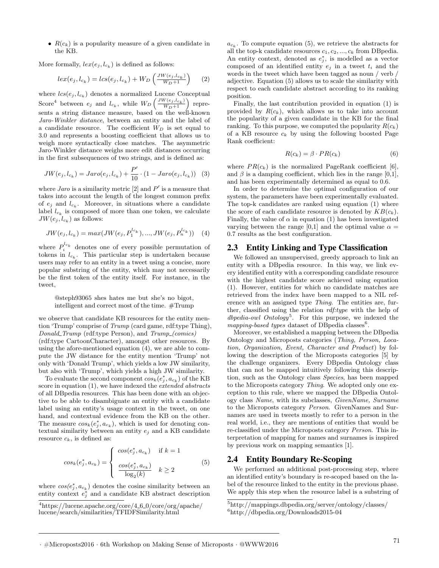•  $R(c_k)$  is a popularity measure of a given candidate in the KB.

More formally,  $lex(e_j, l_{c_k})$  is defined as follows:

$$
lex(e_j, l_{c_k}) = lcs(e_j, l_{c_k}) + W_D\left(\frac{JW(e_j, l_{c_k})}{W_D + 1}\right) \tag{2}
$$

where  $lcs(e_j, l_{c_k})$  denotes a normalized Lucene Conceptual Score<sup>4</sup> between  $e_j$  and  $l_{c_k}$ , while  $W_D \left( \frac{JW(e_j, l_{c_k})}{W_D + 1} \right)$  $W_D+1$  represents a string distance measure, based on the well-known Jaro-Winkler distance, between an entity and the label of a candidate resource. The coefficient  $W_D$  is set equal to 3.0 and represents a boosting coefficient that allows us to weigh more syntactically close matches. The asymmetric Jaro-Winkler distance weighs more edit distances occurring in the first subsequences of two strings, and is defined as:

$$
JW(e_j, l_{c_k}) = Jaro(e_j, l_{c_k}) + \frac{P'}{10} \cdot (1 - Jaro(e_j, l_{c_k}))
$$
 (3)

where *Jaro* is a similarity metric [2] and  $P'$  is a measure that takes into account the length of the longest common prefix of  $e_j$  and  $l_{c_k}$ . Moreover, in situations where a candidate label  $l_{c_k}$  is composed of more than one token, we calculate  $JW(e_j, l_{c_k})$  as follows:

$$
JW(e_j, l_{c_k}) = max(JW(e_j, P_1^{l_{c_k}}), ..., JW(e_j, P_n^{l_{c_k}}))
$$
 (4)

where  $P_i^{l_{c_k}}$  denotes one of every possible permutation of tokens in  $l_{c_k}$ . This particular step is undertaken because users may refer to an entity in a tweet using a concise, more popular substring of the entity, which may not necessarily be the first token of the entity itself. For instance, in the tweet,

#### @steph93065 shes hates me but she's no bigot, intelligent and correct most of the time. #Trump

we observe that candidate KB resources for the entity mention 'Trump' comprise of Trump (card game, rdf:type Thing), Donald Trump (rdf:type Person), and Trump (comics) (rdf:type CartoonCharacter), amongst other resources. By using the afore-mentioned equation (4), we are able to compute the JW distance for the entity mention 'Trump' not only with 'Donald Trump', which yields a low JW similarity, but also with 'Trump', which yields a high JW similarity.

To evaluate the second component  $cos_k(e_j^*, a_{c_k})$  of the KB score in equation (1), we have indexed the *extended abstracts* of all DBpedia resources. This has been done with an objective to be able to disambiguate an entity with a candidate label using an entity's usage context in the tweet, on one hand, and contextual evidence from the KB on the other. The measure  $\cos_k(e_j^*, a_{c_k})$ , which is used for denoting contextual similarity between an entity  $e_i$  and a KB candidate resource  $c_k$ , is defined as:

$$
cos_k(e_j^*, a_{c_k}) = \begin{cases} cos(e_j^*, a_{c_k}) & \text{if } k = 1\\ \frac{cos(e_j^*, a_{c_k})}{\log_2(k)} & k \ge 2 \end{cases}
$$
 (5)

where  $cos(e_j^*, a_{c_k})$  denotes the cosine similarity between an entity context  $e_j^*$  and a candidate KB abstract description

 $a_{c_k}$ . To compute equation (5), we retrieve the abstracts for all the top-k candidate resources  $c_1, c_2, ..., c_k$  from DB pedia. An entity context, denoted as  $e_j^*$ , is modelled as a vector composed of an identified entity  $e_j$  in a tweet  $t_i$  and the words in the tweet which have been tagged as noun / verb / adjective. Equation (5) allows us to scale the similarity with respect to each candidate abstract according to its ranking position.

Finally, the last contribution provided in equation (1) is provided by  $R(c_k)$ , which allows us to take into account the popularity of a given candidate in the KB for the final ranking. To this purpose, we computed the popularity  $R(c_k)$ of a KB resource  $c_k$  by using the following boosted Page Rank coefficient:

$$
R(c_k) = \beta \cdot PR(c_k) \tag{6}
$$

where  $PR(c_k)$  is the normalized PageRank coefficient [6], and  $\beta$  is a damping coefficient, which lies in the range [0,1], and has been experimentally determined as equal to 0.6.

In order to determine the optimal configuration of our system, the parameters have been experimentally evaluated. The top-k candidates are ranked using equation (1) where the score of each candidate resource is denoted by  $KB(c_k)$ . Finally, the value of  $\alpha$  in equation (1) has been investigated varying between the range [0,1] and the optimal value  $\alpha =$ 0 .7 results as the best configuration.

### 2.3 Entity Linking and Type Classification

We followed an unsupervised, greedy approach to link an entity with a DBpedia resource. In this way, we link every identified entity with a corresponding candidate resource with the highest candidate score achieved using equation (1). However, entities for which no candidate matches are retrieved from the index have been mapped to a NIL reference with an assigned type Thing. The entities are, further, classified using the relation rdf:type with the help of  $dbpedia-out Ontology<sup>5</sup>$ . For this purpose, we indexed the mapping-based types dataset of DB pedia classes<sup>6</sup>.

Moreover, we established a mapping between the DBpedia Ontology and Microposts categories (Thing, Person, Location, Organization, Event, Character and Product) by following the description of the Microposts categories [5] by the challenge organizers. Every DBpedia Ontology class that can not be mapped intuitively following this description, such as the Ontology class Species, has been mapped to the Microposts category Thing. We adopted only one exception to this rule, where we mapped the DBpedia Ontology class Name, with its subclasses, GivenName, Surname to the Microposts category Person. GivenNames and Surnames are used in tweets mostly to refer to a person in the real world, i.e., they are mentions of entities that would be re-classified under the Microposts category Person. This interpretation of mapping for names and surnames is inspired by previous work on mapping semantics [1].

### 2.4 Entity Boundary Re-Scoping

We performed an additional post-processing step, where an identified entity's boundary is re-scoped based on the label of the resource linked to the entity in the previous phase. We apply this step when the resource label is a substring of

<sup>4</sup>https://lucene.apache.org/core/4 6 0/core/org/apache/ lucene/search/similarities/TFIDFSimilarity.html

 $^{5}$ http://mappings.dbpedia.org/server/ontology/classes/ $^{6}$ http://dbpedia.org/Downloads2015-04